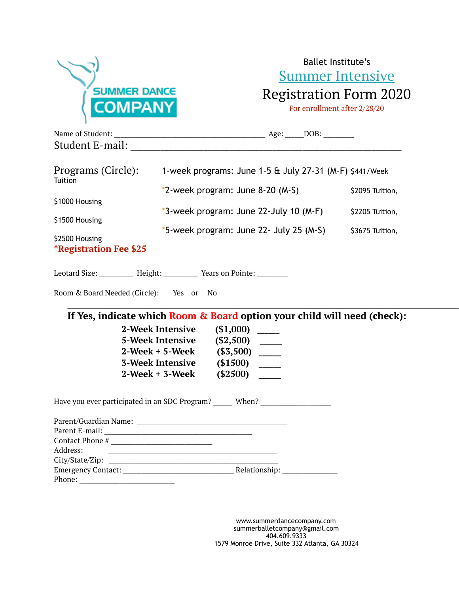

Ballet Institute's Summer Intensive Registration Form 2020

For enrollment after 2/28/20

| Programs (Circle):<br>Tuition |                                                                  | 1-week programs: June $1-5$ & July 27-31 (M-F) \$441/Week                        |                 |  |
|-------------------------------|------------------------------------------------------------------|----------------------------------------------------------------------------------|-----------------|--|
|                               |                                                                  | $*2$ -week program: June 8-20 (M-S)                                              |                 |  |
| \$1000 Housing                |                                                                  |                                                                                  | \$2205 Tuition, |  |
| \$1500 Housing                |                                                                  | *3-week program: June 22-July 10 (M-F)                                           |                 |  |
| \$2500 Housing                |                                                                  | *5-week program: June 22- July 25 (M-S)                                          | \$3675 Tuition, |  |
| <b>*Registration Fee \$25</b> |                                                                  |                                                                                  |                 |  |
|                               |                                                                  | Leotard Size: _________ Height: _________ Years on Pointe: ________              |                 |  |
|                               | Room & Board Needed (Circle): Yes or No                          |                                                                                  |                 |  |
|                               |                                                                  | If Yes, indicate which Room & Board option your child will need (check):         |                 |  |
|                               | <b>2-Week Intensive</b>                                          | (\$1,000)                                                                        |                 |  |
|                               | 5-Week Intensive (\$2,500) _____                                 |                                                                                  |                 |  |
|                               | 2-Week + 5-Week (\$3,500) _____                                  |                                                                                  |                 |  |
|                               | 3-Week Intensive (\$1500) _____<br>2-Week + 3-Week (\$2500)      |                                                                                  |                 |  |
|                               |                                                                  | Have you ever participated in an SDC Program? ______ When? _____________________ |                 |  |
|                               |                                                                  |                                                                                  |                 |  |
|                               |                                                                  |                                                                                  |                 |  |
|                               |                                                                  |                                                                                  |                 |  |
| Address:                      | <u> 1980 - Jan James James Barnett, fransk politik (d. 1980)</u> |                                                                                  |                 |  |
|                               |                                                                  |                                                                                  |                 |  |
| Phone:                        |                                                                  |                                                                                  |                 |  |

www.summerdancecompany.com summerballetcompany@gmail.com 404.609.9333 1579 Monroe Drive, Suite 332 Atlanta, GA 30324